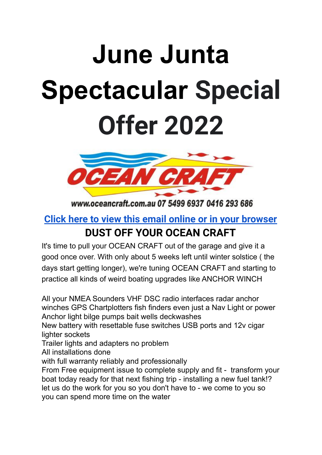# **June Junta Spectacular Special Offer 2022**



www.oceancraft.com.au 07 5499 6937 0416 293 686

### **[Click here to view this email online or in your browser](http://oceancraft.com.au/press%20OCEAN%20CRAFT%20June%20Junta%20Sale%202022.pdf) DUST OFF YOUR OCEAN CRAFT**

It's time to pull your OCEAN CRAFT out of the garage and give it a good once over. With only about 5 weeks left until winter solstice ( the days start getting longer), we're tuning OCEAN CRAFT and starting to practice all kinds of weird boating upgrades like ANCHOR WINCH

All your NMEA Sounders VHF DSC radio interfaces radar anchor winches GPS Chartplotters fish finders even just a Nav Light or power Anchor light bilge pumps bait wells deckwashes New battery with resettable fuse switches USB ports and 12v cigar lighter sockets Trailer lights and adapters no problem All installations done with full warranty reliably and professionally From Free equipment issue to complete supply and fit - transform your boat today ready for that next fishing trip - installing a new fuel tank!? let us do the work for you so you don't have to - we come to you so

you can spend more time on the water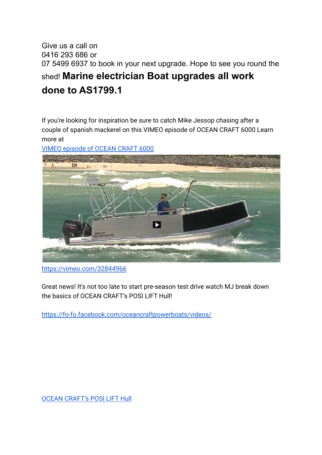#### Give us a call on 0416 293 686 or 07 5499 6937 to book in your next upgrade. Hope to see you round the shed! **Marine electrician Boat upgrades all work done to AS1799.1**

If you're looking for inspiration be sure to catch Mike Jessop chasing after a couple of spanish mackerel on this VIMEO episode of OCEAN CRAFT 6000 Learn more at

[VIMEO episode of OCEAN CRAFT 6000](https://vimeo.com/32844966)



<https://vimeo.com/32844966>

Great news! It's not too late to start pre-season test drive watch MJ break down the basics of OCEAN CRAFT's POSI LIFT Hull!

<https://fo-fo.facebook.com/oceancraftpowerboats/videos/>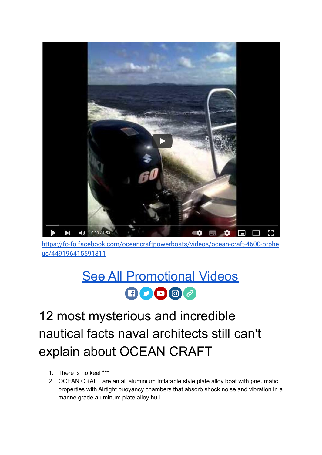

[https://fo-fo.facebook.com/oceancraftpowerboats/videos/ocean-craft-4600-orphe](https://fo-fo.facebook.com/oceancraftpowerboats/videos/ocean-craft-4600-orpheus/449196415591311) [us/449196415591311](https://fo-fo.facebook.com/oceancraftpowerboats/videos/ocean-craft-4600-orpheus/449196415591311)

### [See All Promotional Videos](https://fo-fo.facebook.com/oceancraftpowerboats/videos/)  $\n **0**$

12 most mysterious and incredible nautical facts naval architects still can't explain about OCEAN CRAFT

- 1. There is no keel \*\*\*
- 2. OCEAN CRAFT are an all aluminium Inflatable style plate alloy boat with pneumatic properties with Airtight buoyancy chambers that absorb shock noise and vibration in a marine grade aluminum plate alloy hull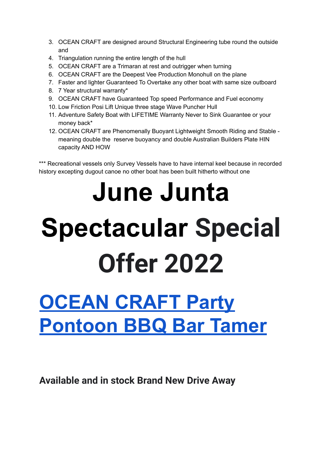- 3. OCEAN CRAFT are designed around Structural Engineering tube round the outside and
- 4. Triangulation running the entire length of the hull
- 5. OCEAN CRAFT are a Trimaran at rest and outrigger when turning
- 6. OCEAN CRAFT are the Deepest Vee Production Monohull on the plane
- 7. Faster and lighter Guaranteed To Overtake any other boat with same size outboard
- 8. 7 Year structural warranty\*
- 9. OCEAN CRAFT have Guaranteed Top speed Performance and Fuel economy
- 10. Low Friction Posi Lift Unique three stage Wave Puncher Hull
- 11. Adventure Safety Boat with LIFETIME Warranty Never to Sink Guarantee or your money back\*
- 12. OCEAN CRAFT are Phenomenally Buoyant Lightweight Smooth Riding and Stable meaning double the reserve buoyancy and double Australian Builders Plate HIN capacity AND HOW

\*\*\* Recreational vessels only Survey Vessels have to have internal keel because in recorded history excepting dugout canoe no other boat has been built hitherto without one

# **June Junta Spectacular Special Offer 2022**

## **[OCEAN CRAFT Party](http://www.oceancraft.com.au/latest%20ocean%20craft%20ad.htm) [Pontoon BBQ Bar Tamer](http://www.oceancraft.com.au/latest%20ocean%20craft%20ad.htm)**

**Available and in stock Brand New Drive Away**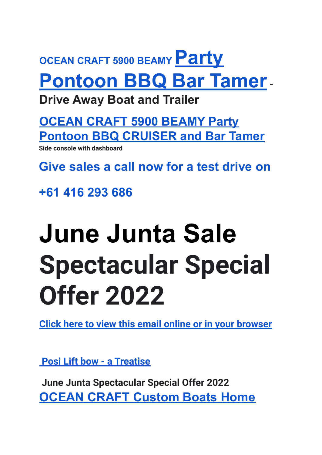## **OCEAN CRAFT 5900 BEAMY [Party](http://www.oceancraft.com.au/latest%20ocean%20craft%20ad.htm) [Pontoon BBQ Bar Tamer](http://www.oceancraft.com.au/latest%20ocean%20craft%20ad.htm)-**

**Drive Away Boat and Trailer**

**[OCEAN CRAFT 5900 BEAMY Party](http://www.oceancraft.com.au/OCEAN%20CRAFT%205900%20CRUISER.htm) [Pontoon BBQ CRUISER and Bar Tamer](http://www.oceancraft.com.au/OCEAN%20CRAFT%205900%20CRUISER.htm)**

**Side console with dashboard**

**Give sales a call now for a test drive on**

**+61 416 293 686**

# **June Junta Sale Spectacular Special Offer 2022**

**[Click here to view this email online or in your browser](http://oceancraft.com.au/press%20OCEAN%20CRAFT%20June%20Junta%20Sale%202022.pdf)**

**[Posi Lift bow - a Treatise](http://oceancraft.com.au/5900pkg1EXRF%20Posi%20Lift%20bow%20a%20Treatise.htm)**

**June Junta Spectacular Special Offer 2022 OCEAN CRAFT [Custom](http://www.oceancraft.com.au/index.htm) Boats Home**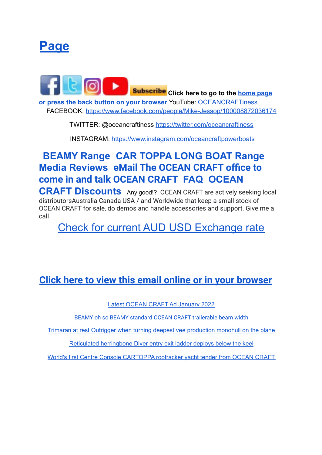

**Click here to go to the [home page](http://www.oceancraft.com.au/index.htm) [or press the back button on your browser](http://www.oceancraft.com.au/index.htm)** YouTube: [OCEANCRAFTiness](http://www.oceancraft.com.au/OCEAN%20CRAFT%20Promotional%20videos.htm) FACEBOOK: [https://www.facebook.com/people/Mike-Jessop/100008872036174](https://www.facebook.com/people/Mike-Jessop/100008872036174/)

TWITTER: @oceancraftiness <https://twitter.com/oceancraftiness>

INSTAGRAM: [https://www.instagram.com/oceancraftpowerboats](https://www.instagram.com/oceancraftpowerboats/)

#### **BEAMY Range CAR TOPPA LONG BOAT Range Media Reviews eMail The OCEAN CRAFT office to come in and talk OCEAN CRAFT FAQ OCEAN**

**CRAFT Discounts** Any good!? OCEAN CRAFT are actively seeking local distributorsAustralia Canada USA / and Worldwide that keep a small stock of OCEAN CRAFT for sale, do demos and handle accessories and support. Give me a call

Check for current AUD USD [Exchange](https://www.google.com/search?q=+aud+usd+&client=firefox-b-d&ei=m_PpYYL1GqjWz7sPtoyx4A8&ved=0ahUKEwjCrpqLwcH1AhUo63MBHTZGDPwQ4dUDCA0&uact=5&oq=+aud+usd+&gs_lcp=Cgdnd3Mtd2l6EAMyBAgAEEMyCggAELEDEIMBEEMyBwgAELEDEEMyBAgAEEMyBQgAEIAEMgQIABBDMgsIABCABBCxAxCDATIFCAAQgAQyBAgAEEMyBAgAEEM6BwgAEEcQsAM6BwgAELADEEM6DwgAELEDEIMBEEMQRhCCAkoECEEYAEoECEYYAFDVCFiAGWDSH2gBcAJ4AIABvAGIAaMFkgEDMC40mAEAoAEBoAECyAEKwAEB&sclient=gws-wiz) rate

#### **[Click here to view this email online or in your browser](http://oceancraft.com.au/press%20OCEAN%20CRAFT%20June%20Junta%20Sale%202022.pdf)**

Latest OCEAN CRAFT Ad [January](http://www.oceancraft.com.au/latest%20ocean%20craft%20ad.htm) 2022

[BEAMY oh so BEAMY standard OCEAN CRAFT trailerable beam width](http://www.oceancraft.com.au/8112_n%20scubamunkies%20OCEAN%20CRAFT%208200%20sea%20wolf%208.2%20metre%20DIVE%20CHARTER%20VESSEL%20DIVE%20BOAT.jpg)

Trimaran at rest Outrigger when turning deepest vee [production](http://www.oceancraft.com.au/OCEAN%20CRAFT%2082000%20Sea%20Wolf%20Ollie19.jpg) monohull on the plane

Reticulated [herringbone](http://www.oceancraft.com.au/deploys%20500mm%20below%20the%20keel%20so%20that%20divers%20can%20renter%20the%20OCEAN%20CRAFT%208200%20Sea%20Wolf%203.jpg) Diver entry exit ladder deploys below the keel

World's first Centre Console [CARTOPPA](https://bnbfishing.com.au/centre-console-car-topper-from-ocean-craft/?mc_cid=782dc6f50a&mc_eid=0acc50cb10) roofracker yacht tender from OCEAN CRAFT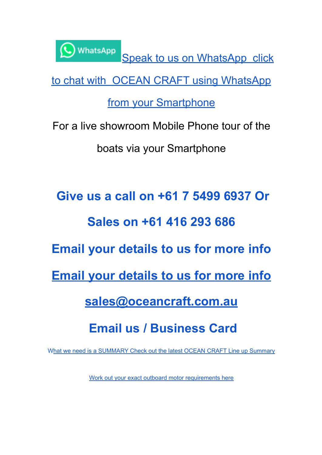

Speak to us on [WhatsApp](https://api.whatsapp.com/send/?phone=61416293686&text&app_absent=0) click

to chat with OCEAN CRAFT using [WhatsApp](https://api.whatsapp.com/send/?phone=61416293686&text&app_absent=0)

from your [Smartphone](https://api.whatsapp.com/send/?phone=61416293686&text&app_absent=0)

For a live showroom Mobile Phone tour of the boats via your Smartphone

**Give us a call on +61 7 5499 6937 Or Sales on +61 416 293 686 Email your details to us for more info Email your [details](mailto:sales@oceancraft.com.au) to us for more info [sales@oceancraft.com.au](mailto:sales@oceancraft.com.au) Email us / Business Card**

What we need is a [SUMMARY](http://www.oceancraft.com.au/data.htm) Check out the latest OCEAN CRAFT Line up Summary

Work out your exact outboard motor [requirements](http://www.oceancraft.com.au/encalchp.htm) here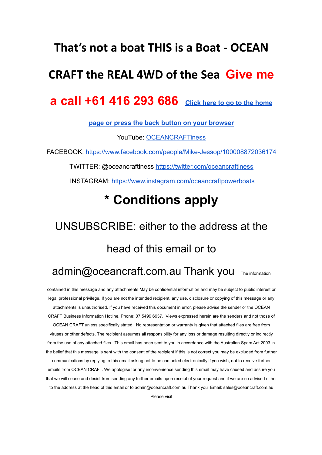#### **That's not a boat THIS is a Boat - OCEAN**

#### **CRAFT the REAL 4WD of the Sea Give me**

#### **a call +61 416 293 686 [Click here to go to the home](http://www.oceancraft.com.au/index.htm)**

**[page or press the back button on your browser](http://www.oceancraft.com.au/index.htm)**

YouTube: [OCEANCRAFTiness](http://www.oceancraft.com.au/OCEAN%20CRAFT%20Promotional%20videos.htm)

FACEBOOK: [https://www.facebook.com/people/Mike-Jessop/100008872036174](https://www.facebook.com/people/Mike-Jessop/100008872036174/)

TWITTER: @oceancraftiness <https://twitter.com/oceancraftiness>

INSTAGRAM: [https://www.instagram.com/oceancraftpowerboats](https://www.instagram.com/oceancraftpowerboats/)

### **\* Conditions apply**

## UNSUBSCRIBE: either to the address at the head of this email or to

#### admin@oceancraft.com.au Thank you The information

contained in this message and any attachments May be confidential information and may be subject to public interest or legal professional privilege. If you are not the intended recipient, any use, disclosure or copying of this message or any attachments is unauthorised. If you have received this document in error, please advise the sender or the OCEAN CRAFT Business Information Hotline. Phone: 07 5499 6937. Views expressed herein are the senders and not those of OCEAN CRAFT unless specifically stated. No representation or warranty is given that attached files are free from viruses or other defects. The recipient assumes all responsibility for any loss or damage resulting directly or indirectly from the use of any attached files. This email has been sent to you in accordance with the Australian Spam Act 2003 in the belief that this message is sent with the consent of the recipient if this is not correct you may be excluded from further communications by replying to this email asking not to be contacted electronically if you wish, not to receive further emails from OCEAN CRAFT. We apologise for any inconvenience sending this email may have caused and assure you that we will cease and desist from sending any further emails upon receipt of your request and if we are so advised either to the address at the head of this email or to admin@oceancraft.com.au Thank you Email: sales@oceancraft.com.au Please visit